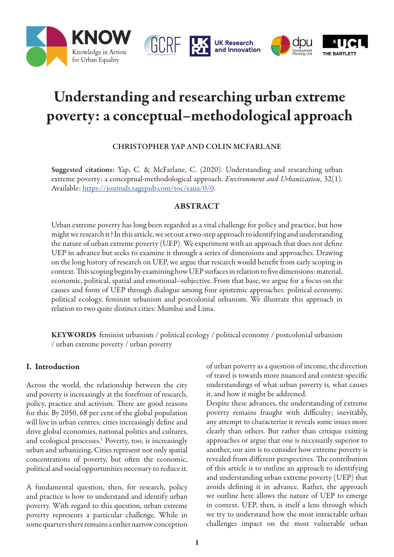<span id="page-0-0"></span>

# Understanding and researching urban extreme poverty: a conceptual–methodological approach

# CHRISTOPHER YAP AND COLIN MCFARLANE

Suggested citations: Yap, C. & McFarlane, C. (2020). Understanding and researching urban extreme poverty: a conceptual-methodological approach. *Environment and Urbanization*, 32(1). Available: <https://journals.sagepub.com/toc/eaua/0/0>.

### ABSTRACT

Urban extreme poverty has long been regarded as a vital challenge for policy and practice, but how might we research it? In this article, we set out a two-step approach to identifying and understanding the nature of urban extreme poverty (UEP). We experiment with an approach that does not define UEP in advance but seeks to examine it through a series of dimensions and approaches. Drawing on the long history of research on UEP, we argue that research would benefit from early scoping in context. This scoping begins by examining how UEP surfaces in relation to five dimensions: material, economic, political, spatial and emotional–subjective. From that base, we argue for a focus on the causes and form of UEP through dialogue among four epistemic approaches: political economy, political ecology, feminist urbanism and postcolonial urbanism. We illustrate this approach in relation to two quite distinct cities: Mumbai and Lima.

KEYWORDS feminist urbanism / political ecology / political economy / postcolonial urbanism / urban extreme poverty / urban poverty

### I. Introduction

Across the world, the relationship between the city and poverty is increasingly at the forefront of research, policy, practice and activism. There are good reasons for this. By 2050, 68 per cent of the global population will live in urban centres; cities increasingly define and drive global economies, national politics and cultures, and ecological processes.<sup>1</sup> Poverty, too, is increasingly urban and urbanizing. Cities represent not only spatial concentrations of poverty, but often the economic, political and social opportunities necessary to reduce it.

A fundamental question, then, for research, policy and practice is how to understand and identify urban poverty. With regard to this question, urban extreme poverty represents a particular challenge. While in some quarters there remains a rather narrow conception

of urban poverty as a question of income, the direction of travel is towards more nuanced and context-specific understandings of what urban poverty is, what causes it, and how it might be addressed.

Despite these advances, the understanding of extreme poverty remains fraught with difficulty; inevitably, any attempt to characterize it reveals some issues more clearly than others. But rather than critique existing approaches or argue that one is necessarily superior to another, our aim is to consider how extreme poverty is revealed from different perspectives. The contribution of this article is to outline an approach to identifying and understanding urban extreme poverty (UEP) that avoids defining it in advance. Rather, the approach we outline here allows the nature of UEP to emerge in context. UEP, then, is itself a lens through which we try to understand how the most intractable urban challenges impact on the most vulnerable urban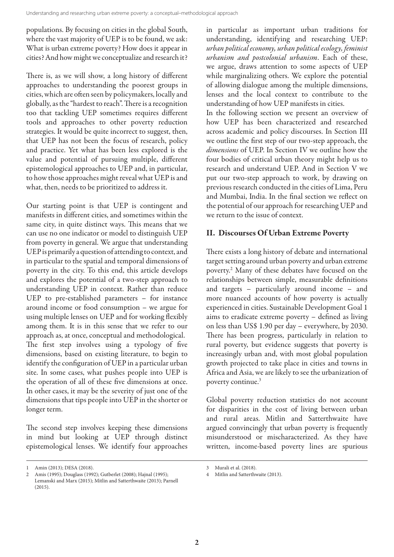<span id="page-1-0"></span>populations. By focusing on cities in the global South, where the vast majority of UEP is to be found, we ask: What is urban extreme poverty? How does it appear in cities? And how might we conceptualize and research it?

There is, as we will show, a long history of different approaches to understanding the poorest groups in cities, which are often seen by policymakers, locally and globally, as the "hardest to reach". There is a recognition too that tackling UEP sometimes requires different tools and approaches to other poverty reduction strategies. It would be quite incorrect to suggest, then, that UEP has not been the focus of research, policy and practice. Yet what has been less explored is the value and potential of pursuing multiple, different epistemological approaches to UEP and, in particular, to how those approaches might reveal what UEP is and what, then, needs to be prioritized to address it.

Our starting point is that UEP is contingent and manifests in different cities, and sometimes within the same city, in quite distinct ways. This means that we can use no one indicator or model to distinguish UEP from poverty in general. We argue that understanding UEP is primarily a question of attending to context, and in particular to the spatial and temporal dimensions of poverty in the city. To this end, this article develops and explores the potential of a two-step approach to understanding UEP in context. Rather than reduce UEP to pre-established parameters – for instance around income or food consumption – we argue for using multiple lenses on UEP and for working flexibly among them. It is in this sense that we refer to our approach as, at once, conceptual and methodological. The first step involves using a typology of five dimensions, based on existing literature, to begin to identify the configuration of UEP in a particular urban site. In some cases, what pushes people into UEP is the operation of all of these five dimensions at once. In other cases, it may be the severity of just one of the dimensions that tips people into UEP in the shorter or longer term.

The second step involves keeping these dimensions in mind but looking at UEP through distinct epistemological lenses. We identify four approaches

in particular as important urban traditions for understanding, identifying and researching UEP: *urban political economy, urban political ecology, feminist urbanism and postcolonial urbanism*. Each of these, we argue, draws attention to some aspects of UEP while marginalizing others. We explore the potential of allowing dialogue among the multiple dimensions, lenses and the local context to contribute to the understanding of how UEP manifests in cities.

In the following section we present an overview of how UEP has been characterized and researched across academic and policy discourses. In Section III we outline the first step of our two-step approach, the *dimensions* of UEP. In Section IV we outline how the four bodies of critical urban theory might help us to research and understand UEP. And in Section V we put our two-step approach to work, by drawing on previous research conducted in the cities of Lima, Peru and Mumbai, India. In the final section we reflect on the potential of our approach for researching UEP and we return to the issue of context.

# II. Discourses Of Urban Extreme Poverty

There exists a long history of debate and international target setting around urban poverty and urban extreme poverty.2 Many of these debates have focused on the relationships between simple, measurable definitions and targets – particularly around income – and more nuanced accounts of how poverty is actually experienced in cities. Sustainable Development Goal 1 aims to eradicate extreme poverty – defined as living on less than US\$ 1.90 per day – everywhere, by 2030. There has been progress, particularly in relation to rural poverty, but evidence suggests that poverty is increasingly urban and, with most global population growth projected to take place in cities and towns in Africa and Asia, we are likely to see the urbanization of poverty continue.3

Global poverty reduction statistics do not account for disparities in the cost of living between urban and rural areas. Mitlin and Satterthwaite have argued convincingly that urban poverty is frequently misunderstood or mischaracterized. As they have written, income-based poverty lines are spurious

Amin (2013); DESA (2018).

<sup>2</sup> Amis (1995); Douglass (1992); Gutberlet (2008); Hajnal (1995); Lemanski and Marx (2015); Mitlin and Satterthwaite (2013); Parnell (2015).

<sup>3</sup> Murali et al. (2018).

[<sup>4</sup>](#page-2-0) Mitlin and Satterthwaite (2013).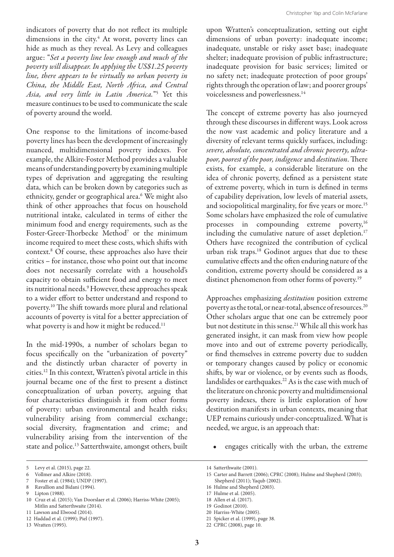<span id="page-2-0"></span>indicators of poverty that do not reflect its multiple dimensions in the city.<sup>4</sup> At worst, poverty lines can hide as much as they reveal. As Levy and colleagues argue: "*Set a poverty line low enough and much of the poverty will disappear. In applying the US\$1.25 poverty line, there appears to be virtually no urban poverty in China, the Middle East, North Africa, and Central Asia, and very little in Latin America.*"5 Yet this measure continues to be used to communicate the scale of poverty around the world.

One response to the limitations of income-based poverty lines has been the development of increasingly nuanced, multidimensional poverty indexes. For example, the Alkire-Foster Method provides a valuable means of understanding poverty by examining multiple types of deprivation and aggregating the resulting data, which can be broken down by categories such as ethnicity, gender or geographical area.<sup>6</sup> We might also think of other approaches that focus on household nutritional intake, calculated in terms of either the minimum food and energy requirements, such as the Foster-Greer-Thorbecke Method<sup>7</sup> or the minimum income required to meet these costs, which shifts with context.8 Of course, these approaches also have their critics – for instance, those who point out that income does not necessarily correlate with a household's capacity to obtain sufficient food and energy to meet its nutritional needs.<sup>9</sup> However, these approaches speak to a wider effort to better understand and respond to poverty.10 The shift towards more plural and relational accounts of poverty is vital for a better appreciation of what poverty is and how it might be reduced.<sup>11</sup>

In the mid-1990s, a number of scholars began to focus specifically on the "urbanization of poverty" and the distinctly urban character of poverty in cities.12 In this context, Wratten's pivotal article in this journal became one of the first to present a distinct conceptualization of urban poverty, arguing that four characteristics distinguish it from other forms of poverty: urban environmental and health risks; vulnerability arising from commercial exchange; social diversity, fragmentation and crime; and vulnerability arising from the intervention of the state and police.<sup>13</sup> Satterthwaite, amongst others, built

- 8 Ravallion and Bidani (1994).
- 9 Lipton (1988).
- 10 Cruz et al. (2015); Van Doorslaer et al. (2006); Harriss-White (2005); Mitlin and Satterthwaite (2014).
- 11 Lawson and Elwood (2014).
- 12 Haddad et al. (1999); Piel (1997).
- 13 Wratten (1995).

upon Wratten's conceptualization, setting out eight dimensions of urban poverty: inadequate income; inadequate, unstable or risky asset base; inadequate shelter; inadequate provision of public infrastructure; inadequate provision for basic services; limited or no safety net; inadequate protection of poor groups' rights through the operation of law; and poorer groups' voicelessness and powerlessness.14

The concept of extreme poverty has also journeyed through these discourses in different ways. Look across the now vast academic and policy literature and a diversity of relevant terms quickly surfaces, including: *severe, absolute, concentrated and chronic poverty, ultrapoor, poorest of the poor, indigence* and *destitution*. There exists, for example, a considerable literature on the idea of chronic poverty, defined as a persistent state of extreme poverty, which in turn is defined in terms of capability deprivation, low levels of material assets, and sociopolitical marginality, for five years or more.<sup>15</sup> Some scholars have emphasized the role of cumulative processes in compounding extreme poverty,<sup>16</sup> including the cumulative nature of asset depletion.<sup>17</sup> Others have recognized the contribution of cyclical urban risk traps.18 Godinot argues that due to these cumulative effects and the often enduring nature of the condition, extreme poverty should be considered as a distinct phenomenon from other forms of poverty.<sup>19</sup>

Approaches emphasizing *destitution* position extreme poverty as the total, or near-total, absence of resources.20 Other scholars argue that one can be extremely poor but not destitute in this sense.<sup>21</sup> While all this work has generated insight, it can mask from view how people move into and out of extreme poverty periodically, or find themselves in extreme poverty due to sudden or temporary changes caused by policy or economic shifts, by war or violence, or by events such as floods, landslides or earthquakes.<sup>22</sup> As is the case with much of the literature on chronic poverty and multidimensional poverty indexes, there is little exploration of how destitution manifests in urban contexts, meaning that UEP remains curiously under-conceptualized. What is needed, we argue, is an approach that:

engages critically with the urban, the extreme

- 15 Carter and Barrett (2006); CPRC (2008); Hulme and Shepherd (2003); Shepherd (2011); Yaqub (2002).
- 16 Hulme and Shepherd (2003).
- 17 Hulme et al. (2005).

- 19 Godinot (2010).
- 20 Harriss-White (2005).
- 21 Spicker et al. (1999), page 38.
- 22 CPRC (2008), page 10.

3

<sup>5</sup> Levy et al. (2015), page 22.

<sup>6</sup> Vollmer and Alkire (2018).

Foster et al. (1984); UNDP (1997).

<sup>14</sup> Satterthwaite (2001).

<sup>18</sup> Allen et al. (2017).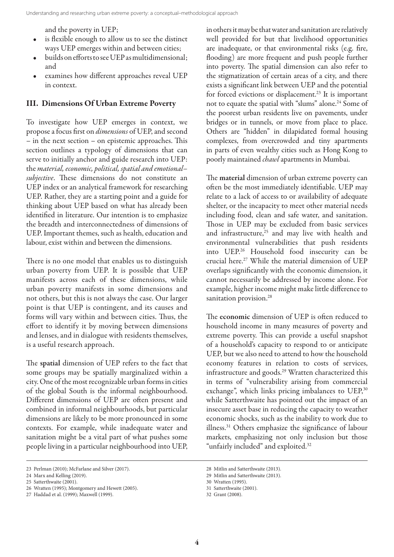and the poverty in UEP;

- is flexible enough to allow us to see the distinct ways UEP emerges within and between cities;
- builds on efforts to see UEP as multidimensional; and
- examines how different approaches reveal UEP in context.

# III. Dimensions Of Urban Extreme Poverty

To investigate how UEP emerges in context, we propose a focus first on *dimensions* of UEP, and second – in the next section – on epistemic approaches. This section outlines a typology of dimensions that can serve to initially anchor and guide research into UEP: the *material, economic, political, spatial and emotional– subjective*. These dimensions do not constitute an UEP index or an analytical framework for researching UEP. Rather, they are a starting point and a guide for thinking about UEP based on what has already been identified in literature. Our intention is to emphasize the breadth and interconnectedness of dimensions of UEP. Important themes, such as health, education and labour, exist within and between the dimensions.

There is no one model that enables us to distinguish urban poverty from UEP. It is possible that UEP manifests across each of these dimensions, while urban poverty manifests in some dimensions and not others, but this is not always the case. Our larger point is that UEP is contingent, and its causes and forms will vary within and between cities. Thus, the effort to identify it by moving between dimensions and lenses, and in dialogue with residents themselves, is a useful research approach.

The spatial dimension of UEP refers to the fact that some groups may be spatially marginalized within a city. One of the most recognizable urban forms in cities of the global South is the informal neighbourhood. Different dimensions of UEP are often present and combined in informal neighbourhoods, but particular dimensions are likely to be more pronounced in some contexts. For example, while inadequate water and sanitation might be a vital part of what pushes some people living in a particular neighbourhood into UEP, in others it may be that water and sanitation are relatively well provided for but that livelihood opportunities are inadequate, or that environmental risks (e.g. fire, flooding) are more frequent and push people further into poverty. The spatial dimension can also refer to the stigmatization of certain areas of a city, and there exists a significant link between UEP and the potential for forced evictions or displacement.<sup>23</sup> It is important not to equate the spatial with "slums" alone.<sup>24</sup> Some of the poorest urban residents live on pavements, under bridges or in tunnels, or move from place to place. Others are "hidden" in dilapidated formal housing complexes, from overcrowded and tiny apartments in parts of even wealthy cities such as Hong Kong to poorly maintained *chawl* apartments in Mumbai.

The material dimension of urban extreme poverty can often be the most immediately identifiable. UEP may relate to a lack of access to or availability of adequate shelter, or the incapacity to meet other material needs including food, clean and safe water, and sanitation. Those in UEP may be excluded from basic services and infrastructure,<sup>25</sup> and may live with health and environmental vulnerabilities that push residents into UEP.26 Household food insecurity can be crucial here.27 While the material dimension of UEP overlaps significantly with the economic dimension, it cannot necessarily be addressed by income alone. For example, higher income might make little difference to sanitation provision.<sup>28</sup>

The economic dimension of UEP is often reduced to household income in many measures of poverty and extreme poverty. This can provide a useful snapshot of a household's capacity to respond to or anticipate UEP, but we also need to attend to how the household economy features in relation to costs of services, infrastructure and goods.<sup>29</sup> Wratten characterized this in terms of "vulnerability arising from commercial exchange", which links pricing imbalances to UEP,<sup>30</sup> while Satterthwaite has pointed out the impact of an insecure asset base in reducing the capacity to weather economic shocks, such as the inability to work due to illness.31 Others emphasize the significance of labour markets, emphasizing not only inclusion but those "unfairly included" and exploited.<sup>32</sup>

<sup>23</sup> Perlman (2010); McFarlane and Silver (2017).

<sup>24</sup> Marx and Kelling (2019).

<sup>25</sup> Satterthwaite (2001).

<sup>26</sup> Wratten (1995); Montgomery and Hewett (2005).

<sup>27</sup> Haddad et al. (1999); Maxwell (1999).

<sup>28</sup> Mitlin and Satterthwaite (2013).

<sup>29</sup> Mitlin and Satterthwaite (2013).

<sup>30</sup> Wratten (1995).

<sup>31</sup> Satterthwaite (2001).

<sup>32</sup> Grant (2008).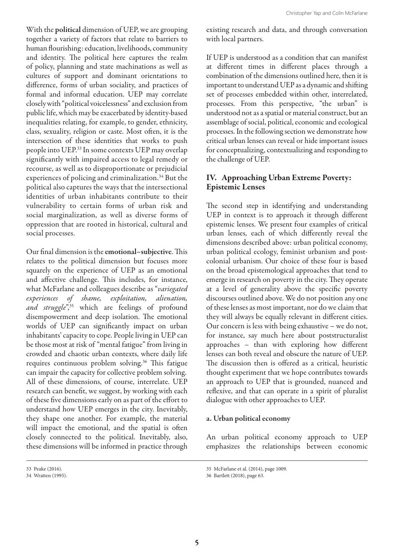With the political dimension of UEP, we are grouping together a variety of factors that relate to barriers to human flourishing: education, livelihoods, community and identity. The political here captures the realm of policy, planning and state machinations as well as cultures of support and dominant orientations to difference, forms of urban sociality, and practices of formal and informal education. UEP may correlate closely with "political voicelessness" and exclusion from public life, which may be exacerbated by identity-based inequalities relating, for example, to gender, ethnicity, class, sexuality, religion or caste. Most often, it is the intersection of these identities that works to push people into UEP.33 In some contexts UEP may overlap significantly with impaired access to legal remedy or recourse, as well as to disproportionate or prejudicial experiences of policing and criminalization.<sup>34</sup> But the political also captures the ways that the intersectional identities of urban inhabitants contribute to their vulnerability to certain forms of urban risk and social marginalization, as well as diverse forms of oppression that are rooted in historical, cultural and social processes.

Our final dimension is the emotional–subjective. This relates to the political dimension but focuses more squarely on the experience of UEP as an emotional and affective challenge. This includes, for instance, what McFarlane and colleagues describe as "*variegated experiences of shame, exploitation, alienation,*  and struggle",<sup>35</sup> which are feelings of profound disempowerment and deep isolation. The emotional worlds of UEP can significantly impact on urban inhabitants' capacity to cope. People living in UEP can be those most at risk of "mental fatigue" from living in crowded and chaotic urban contexts, where daily life requires continuous problem solving.<sup>36</sup> This fatigue can impair the capacity for collective problem solving. All of these dimensions, of course, interrelate. UEP research can benefit, we suggest, by working with each of these five dimensions early on as part of the effort to understand how UEP emerges in the city. Inevitably, they shape one another. For example, the material will impact the emotional, and the spatial is often closely connected to the political. Inevitably, also, these dimensions will be informed in practice through existing research and data, and through conversation with local partners.

If UEP is understood as a condition that can manifest at different times in different places through a combination of the dimensions outlined here, then it is important to understand UEP as a dynamic and shifting set of processes embedded within other, interrelated, processes. From this perspective, "the urban" is understood not as a spatial or material construct, but an assemblage of social, political, economic and ecological processes. In the following section we demonstrate how critical urban lenses can reveal or hide important issues for conceptualizing, contextualizing and responding to the challenge of UEP.

### IV. Approaching Urban Extreme Poverty: Epistemic Lenses

The second step in identifying and understanding UEP in context is to approach it through different epistemic lenses. We present four examples of critical urban lenses, each of which differently reveal the dimensions described above: urban political economy, urban political ecology, feminist urbanism and postcolonial urbanism. Our choice of these four is based on the broad epistemological approaches that tend to emerge in research on poverty in the city. They operate at a level of generality above the specific poverty discourses outlined above. We do not position any one of these lenses as most important, nor do we claim that they will always be equally relevant in different cities. Our concern is less with being exhaustive – we do not, for instance, say much here about poststructuralist approaches – than with exploring how different lenses can both reveal and obscure the nature of UEP. The discussion then is offered as a critical, heuristic thought experiment that we hope contributes towards an approach to UEP that is grounded, nuanced and reflexive, and that can operate in a spirit of pluralist dialogue with other approaches to UEP.

#### a. Urban political economy

An urban political economy approach to UEP emphasizes the relationships between economic

<sup>34</sup> Wratten (1995).

<sup>35</sup> McFarlane et al. (2014), page 1009.

<sup>36</sup> Bartlett (2018), page 63.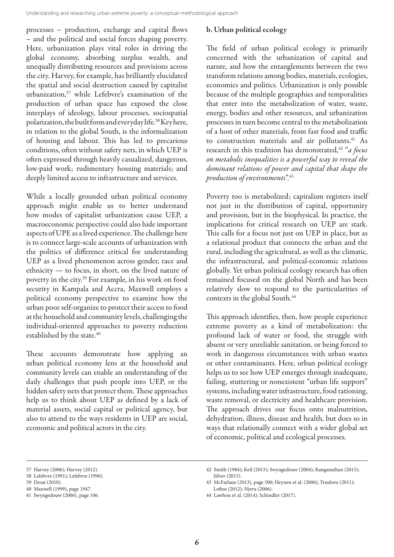processes – production, exchange and capital flows – and the political and social forces shaping poverty. Here, urbanization plays vital roles in driving the global economy, absorbing surplus wealth, and unequally distributing resources and provisions across the city. Harvey, for example, has brilliantly elucidated the spatial and social destruction caused by capitalist urbanization,<sup>37</sup> while Lefebvre's examination of the production of urban space has exposed the close interplays of ideology, labour processes, sociospatial polarization, the built form and everyday life.38 Key here, in relation to the global South, is the informalization of housing and labour. This has led to precarious conditions, often without safety nets, in which UEP is often expressed through heavily casualized, dangerous, low-paid work; rudimentary housing materials; and deeply limited access to infrastructure and services.

While a locally grounded urban political economy approach might enable us to better understand how modes of capitalist urbanization cause UEP, a macroeconomic perspective could also hide important aspects of UPE as a lived experience. The challenge here is to connect large-scale accounts of urbanization with the politics of difference critical for understanding UEP as a lived phenomenon across gender, race and ethnicity — to focus, in short, on the lived nature of poverty in the city.39 For example, in his work on food security in Kampala and Accra, Maxwell employs a political economy perspective to examine how the urban poor self-organize to protect their access to food at the household and community levels, challenging the individual-oriented approaches to poverty reduction established by the state.<sup>40</sup>

These accounts demonstrate how applying an urban political economy lens at the household and community levels can enable an understanding of the daily challenges that push people into UEP, or the hidden safety nets that protect them. These approaches help us to think about UEP as defined by a lack of material assets, social capital or political agency, but also to attend to the ways residents in UEP are social, economic and political actors in the city.

# b. Urban political ecology

The field of urban political ecology is primarily concerned with the urbanization of capital and nature, and how the entanglements between the two transform relations among bodies, materials, ecologies, economics and politics. Urbanization is only possible because of the multiple geographies and temporalities that enter into the metabolization of water, waste, energy, bodies and other resources, and urbanization processes in turn become central to the metabolization of a host of other materials, from fast food and traffic to construction materials and air pollutants.<sup>41</sup> As research in this tradition has demonstrated,<sup>42</sup> "*a focus on metabolic inequalities is a powerful way to reveal the dominant relations of power and capital that shape the production of environments*".43

Poverty too is metabolized; capitalism registers itself not just in the distribution of capital, opportunity and provision, but in the biophysical. In practice, the implications for critical research on UEP are stark. This calls for a focus not just on UEP in place, but as a relational product that connects the urban and the rural, including the agricultural, as well as the climatic, the infrastructural, and political-economic relations globally. Yet urban political ecology research has often remained focused on the global North and has been relatively slow to respond to the particularities of contexts in the global South.<sup>44</sup>

This approach identifies, then, how people experience extreme poverty as a kind of metabolization: the profound lack of water or food, the struggle with absent or very unreliable sanitation, or being forced to work in dangerous circumstances with urban wastes or other contaminants. Here, urban political ecology helps us to see how UEP emerges through inadequate, failing, stuttering or nonexistent "urban life support" systems, including water infrastructure, food rationing, waste removal, or electricity and healthcare provision. The approach drives our focus onto malnutrition, dehydration, illness, disease and health, but does so in ways that relationally connect with a wider global set of economic, political and ecological processes.

40 Maxwell (1999), page 1947.

<sup>37</sup> Harvey (2006); Harvey (2012).

<sup>38</sup> Lefebvre (1991); Lefebvre (1996).

<sup>39</sup> Desai (2010).

<sup>41</sup> Swyngedouw (2006), page 106.

<sup>42</sup> Smith (1984); Keil (2013); Swyngedouw (2004); Ranganathan (2015); Silver (2015).

<sup>43</sup> McFarlane (2013), page 500; Heynen et al. (2006); Truelove (2011); Loftus (2012); Njeru (2006).

<sup>44</sup> Lawhon et al. (2014); Schindler (2017).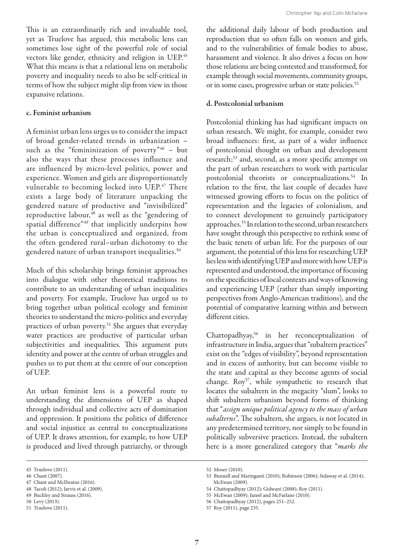This is an extraordinarily rich and invaluable tool, yet as Truelove has argued, this metabolic lens can sometimes lose sight of the powerful role of social vectors like gender, ethnicity and religion in UEP.<sup>45</sup> What this means is that a relational lens on metabolic poverty and inequality needs to also be self-critical in terms of how the subject might slip from view in those expansive relations.

#### c. Feminist urbanism

A feminist urban lens urges us to consider the impact of broad gender-related trends in urbanization – such as the "femininization of poverty"<sup>46</sup> - but also the ways that these processes influence and are influenced by micro-level politics, power and experience. Women and girls are disproportionately vulnerable to becoming locked into UEP.<sup>47</sup> There exists a large body of literature unpacking the gendered nature of productive and "invisibilized" reproductive labour, $\frac{48}{18}$  as well as the "gendering of spatial difference"<sup>49</sup> that implicitly underpins how the urban is conceptualized and organized, from the often gendered rural–urban dichotomy to the gendered nature of urban transport inequalities.50

Much of this scholarship brings feminist approaches into dialogue with other theoretical traditions to contribute to an understanding of urban inequalities and poverty. For example, Truelove has urged us to bring together urban political ecology and feminist theories to understand the micro-politics and everyday practices of urban poverty.51 She argues that everyday water practices are productive of particular urban subjectivities and inequalities. This argument puts identity and power at the centre of urban struggles and pushes us to put them at the centre of our conception of UEP.

An urban feminist lens is a powerful route to understanding the dimensions of UEP as shaped through individual and collective acts of domination and oppression. It positions the politics of difference and social injustice as central to conceptualizations of UEP. It draws attention, for example, to how UEP is produced and lived through patriarchy, or through the additional daily labour of both production and reproduction that so often falls on women and girls, and to the vulnerabilities of female bodies to abuse, harassment and violence. It also drives a focus on how those relations are being contested and transformed, for example through social movements, community groups, or in some cases, progressive urban or state policies.<sup>52</sup>

#### d. Postcolonial urbanism

Postcolonial thinking has had significant impacts on urban research. We might, for example, consider two broad influences: first, as part of a wider influence of postcolonial thought on urban and development research;53 and, second, as a more specific attempt on the part of urban researchers to work with particular postcolonial theorists or conceptualizations.<sup>54</sup> In relation to the first, the last couple of decades have witnessed growing efforts to focus on the politics of representation and the legacies of colonialism, and to connect development to genuinely participatory approaches.55 In relation to the second, urban researchers have sought through this perspective to rethink some of the basic tenets of urban life. For the purposes of our argument, the potential of this lens for researching UEP lies less with identifying UEP and more with how UEP is represented and understood, the importance of focusing on the specificities of local contexts and ways of knowing and experiencing UEP (rather than simply importing perspectives from Anglo-American traditions), and the potential of comparative learning within and between different cities.

Chattopadhyay,56 in her reconceptualization of infrastructure in India, argues that "subaltern practices" exist on the "edges of visibility", beyond representation and in excess of authority, but can become visible to the state and capital as they become agents of social change. Roy<sup>57</sup>, while sympathetic to research that locates the subaltern in the megacity "slum", looks to shift subaltern urbanism beyond forms of thinking that "*assign unique political agency to the mass of urban subalterns*". The subaltern, she argues, is not located in any predetermined territory, nor simply to be found in politically subversive practices. Instead, the subaltern here is a more generalized category that "*marks the* 

<sup>45</sup> Truelove (2011).

<sup>46</sup> Chant (2007).

<sup>47</sup> Chant and McIlwaine (2016).

<sup>48</sup> Tacoli (2012); Jarvis et al. (2009).

<sup>49</sup> Buckley and Strauss (2016). 50 Levy (2013).

<sup>51</sup> Truelove (2011).

<sup>52</sup> Moser (2010).

<sup>53</sup> Bunnell and Maringanti (2010); Robinson (2006); Sidaway et al. (2014); McEwan (2009).

<sup>54</sup> Chattopadhyay (2012); Gidwani (2008); Roy (2011).

<sup>55</sup> McEwan (2009); Jazeel and McFarlane (2010).

<sup>56</sup> Chattopadhyay (2012), pages 251–252.

<sup>57</sup> Roy (2011), page 235.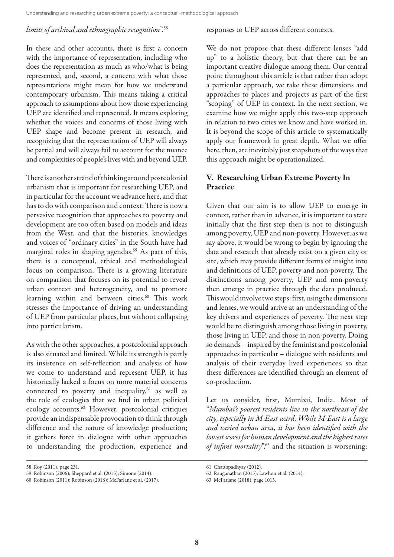### *limits of archival and ethnographic recognition*".58

In these and other accounts, there is first a concern with the importance of representation, including who does the representation as much as who/what is being represented, and, second, a concern with what those representations might mean for how we understand contemporary urbanism. This means taking a critical approach to assumptions about how those experiencing UEP are identified and represented. It means exploring whether the voices and concerns of those living with UEP shape and become present in research, and recognizing that the representation of UEP will always be partial and will always fail to account for the nuance and complexities of people's lives with and beyond UEP.

There is another strand of thinking around postcolonial urbanism that is important for researching UEP, and in particular for the account we advance here, and that has to do with comparison and context. There is now a pervasive recognition that approaches to poverty and development are too often based on models and ideas from the West, and that the histories, knowledges and voices of "ordinary cities" in the South have had marginal roles in shaping agendas.<sup>59</sup> As part of this, there is a conceptual, ethical and methodological focus on comparison. There is a growing literature on comparison that focuses on its potential to reveal urban context and heterogeneity, and to promote learning within and between cities.<sup>60</sup> This work stresses the importance of driving an understanding of UEP from particular places, but without collapsing into particularism.

As with the other approaches, a postcolonial approach is also situated and limited. While its strength is partly its insistence on self-reflection and analysis of how we come to understand and represent UEP, it has historically lacked a focus on more material concerns connected to poverty and inequality, $61$  as well as the role of ecologies that we find in urban political ecology accounts.<sup>62</sup> However, postcolonial critiques provide an indispensable provocation to think through difference and the nature of knowledge production; it gathers force in dialogue with other approaches to understanding the production, experience and responses to UEP across different contexts.

We do not propose that these different lenses "add up" to a holistic theory, but that there can be an important creative dialogue among them. Our central point throughout this article is that rather than adopt a particular approach, we take these dimensions and approaches to places and projects as part of the first "scoping" of UEP in context. In the next section, we examine how we might apply this two-step approach in relation to two cities we know and have worked in. It is beyond the scope of this article to systematically apply our framework in great depth. What we offer here, then, are inevitably just snapshots of the ways that this approach might be operationalized.

### V. Researching Urban Extreme Poverty In Practice

Given that our aim is to allow UEP to emerge in context, rather than in advance, it is important to state initially that the first step then is not to distinguish among poverty, UEP and non-poverty. However, as we say above, it would be wrong to begin by ignoring the data and research that already exist on a given city or site, which may provide different forms of insight into and definitions of UEP, poverty and non-poverty. The distinctions among poverty, UEP and non-poverty then emerge in practice through the data produced. This would involve two steps: first, using the dimensions and lenses, we would arrive at an understanding of the key drivers and experiences of poverty. The next step would be to distinguish among those living in poverty, those living in UEP, and those in non-poverty. Doing so demands – inspired by the feminist and postcolonial approaches in particular – dialogue with residents and analysis of their everyday lived experiences, so that these differences are identified through an element of co-production.

Let us consider, first, Mumbai, India. Most of "*Mumbai's poorest residents live in the northeast of the city, especially in M-East ward. While M-East is a large and varied urban area, it has been identified with the lowest scores for human development and the highest rates*  of infant mortality",<sup>63</sup> and the situation is worsening:

<sup>58</sup> Roy (2011), page 231.

<sup>59</sup> Robinson (2006); Sheppard et al. (2015); Simone (2014).

<sup>60</sup> Robinson (2011); Robinson (2016); McFarlane et al. (2017).

<sup>61</sup> Chattopadhyay (2012).

<sup>62</sup> Ranganathan (2015); Lawhon et al. (2014).

<sup>63</sup> McFarlane (2018), page 1013.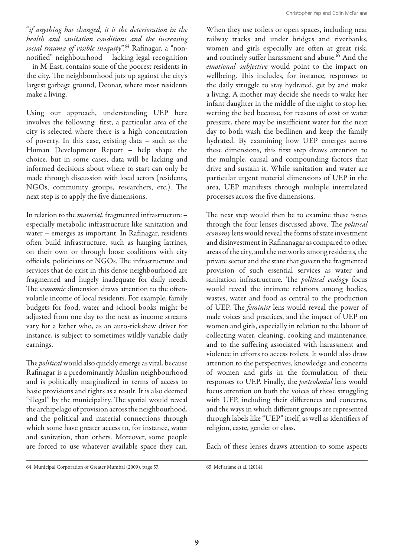"*if anything has changed, it is the deterioration in the health and sanitation conditions and the increasing social trauma of visible inequity*".64 Rafinagar, a "nonnotified" neighbourhood – lacking legal recognition – in M-East, contains some of the poorest residents in the city. The neighbourhood juts up against the city's largest garbage ground, Deonar, where most residents make a living.

Using our approach, understanding UEP here involves the following: first, a particular area of the city is selected where there is a high concentration of poverty. In this case, existing data – such as the Human Development Report – help shape the choice, but in some cases, data will be lacking and informed decisions about where to start can only be made through discussion with local actors (residents, NGOs, community groups, researchers, etc.). The next step is to apply the five dimensions.

In relation to the *material*, fragmented infrastructure – especially metabolic infrastructure like sanitation and water – emerges as important. In Rafinagar, residents often build infrastructure, such as hanging latrines, on their own or through loose coalitions with city officials, politicians or NGOs. The infrastructure and services that do exist in this dense neighbourhood are fragmented and hugely inadequate for daily needs. The *economic* dimension draws attention to the oftenvolatile income of local residents. For example, family budgets for food, water and school books might be adjusted from one day to the next as income streams vary for a father who, as an auto-rickshaw driver for instance, is subject to sometimes wildly variable daily earnings.

The *political* would also quickly emerge as vital, because Rafinagar is a predominantly Muslim neighbourhood and is politically marginalized in terms of access to basic provisions and rights as a result. It is also deemed "illegal" by the municipality. The spatial would reveal the archipelago of provision across the neighbourhood, and the political and material connections through which some have greater access to, for instance, water and sanitation, than others. Moreover, some people are forced to use whatever available space they can. When they use toilets or open spaces, including near railway tracks and under bridges and riverbanks, women and girls especially are often at great risk, and routinely suffer harassment and abuse.<sup>65</sup> And the *emotional–subjective* would point to the impact on wellbeing. This includes, for instance, responses to the daily struggle to stay hydrated, get by and make a living. A mother may decide she needs to wake her infant daughter in the middle of the night to stop her wetting the bed because, for reasons of cost or water pressure, there may be insufficient water for the next day to both wash the bedlinen and keep the family hydrated. By examining how UEP emerges across these dimensions, this first step draws attention to the multiple, causal and compounding factors that drive and sustain it. While sanitation and water are particular urgent material dimensions of UEP in the area, UEP manifests through multiple interrelated processes across the five dimensions.

The next step would then be to examine these issues through the four lenses discussed above. The *political economy* lens would reveal the forms of state investment and disinvestment in Rafinanagar as compared to other areas of the city, and the networks among residents, the private sector and the state that govern the fragmented provision of such essential services as water and sanitation infrastructure. The *political ecology* focus would reveal the intimate relations among bodies, wastes, water and food as central to the production of UEP. The *feminist* lens would reveal the power of male voices and practices, and the impact of UEP on women and girls, especially in relation to the labour of collecting water, cleaning, cooking and maintenance, and to the suffering associated with harassment and violence in efforts to access toilets. It would also draw attention to the perspectives, knowledge and concerns of women and girls in the formulation of their responses to UEP. Finally, the *postcolonial* lens would focus attention on both the voices of those struggling with UEP, including their differences and concerns, and the ways in which different groups are represented through labels like "UEP" itself, as well as identifiers of religion, caste, gender or class.

Each of these lenses draws attention to some aspects

<sup>64</sup> Municipal Corporation of Greater Mumbai (2009), page 57. 65 McFarlane et al. (2014).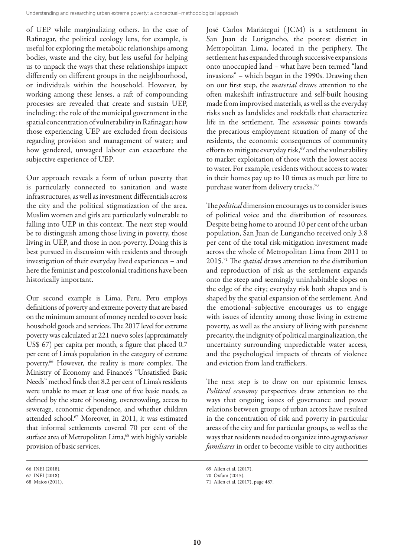of UEP while marginalizing others. In the case of Rafinagar, the political ecology lens, for example, is useful for exploring the metabolic relationships among bodies, waste and the city, but less useful for helping us to unpack the ways that these relationships impact differently on different groups in the neighbourhood, or individuals within the household. However, by working among these lenses, a raft of compounding processes are revealed that create and sustain UEP, including: the role of the municipal government in the spatial concentration of vulnerability in Rafinagar; how those experiencing UEP are excluded from decisions regarding provision and management of water; and how gendered, unwaged labour can exacerbate the subjective experience of UEP.

Our approach reveals a form of urban poverty that is particularly connected to sanitation and waste infrastructures, as well as investment differentials across the city and the political stigmatization of the area. Muslim women and girls are particularly vulnerable to falling into UEP in this context. The next step would be to distinguish among those living in poverty, those living in UEP, and those in non-poverty. Doing this is best pursued in discussion with residents and through investigation of their everyday lived experiences – and here the feminist and postcolonial traditions have been historically important.

Our second example is Lima, Peru. Peru employs definitions of poverty and extreme poverty that are based on the minimum amount of money needed to cover basic household goods and services. The 2017 level for extreme poverty was calculated at 221 nuevo soles (approximately US\$ 67) per capita per month, a figure that placed 0.7 per cent of Lima's population in the category of extreme poverty.66 However, the reality is more complex. The Ministry of Economy and Finance's "Unsatisfied Basic Needs" method finds that 8.2 per cent of Lima's residents were unable to meet at least one of five basic needs, as defined by the state of housing, overcrowding, access to sewerage, economic dependence, and whether children attended school.<sup>67</sup> Moreover, in 2011, it was estimated that informal settlements covered 70 per cent of the surface area of Metropolitan Lima,<sup>68</sup> with highly variable provision of basic services.

José Carlos Mariátegui (JCM) is a settlement in San Juan de Lurigancho, the poorest district in Metropolitan Lima, located in the periphery. The settlement has expanded through successive expansions onto unoccupied land – what have been termed "land invasions" – which began in the 1990s. Drawing then on our first step, the *material* draws attention to the often makeshift infrastructure and self-built housing made from improvised materials, as well as the everyday risks such as landslides and rockfalls that characterize life in the settlement. The *economic* points towards the precarious employment situation of many of the residents, the economic consequences of community efforts to mitigate everyday risk,<sup>69</sup> and the vulnerability to market exploitation of those with the lowest access to water. For example, residents without access to water in their homes pay up to 10 times as much per litre to purchase water from delivery trucks.70

The *political* dimension encourages us to consider issues of political voice and the distribution of resources. Despite being home to around 10 per cent of the urban population, San Juan de Lurigancho received only 3.8 per cent of the total risk-mitigation investment made across the whole of Metropolitan Lima from 2011 to 2015.71 The *spatial* draws attention to the distribution and reproduction of risk as the settlement expands onto the steep and seemingly uninhabitable slopes on the edge of the city; everyday risk both shapes and is shaped by the spatial expansion of the settlement. And the emotional–subjective encourages us to engage with issues of identity among those living in extreme poverty, as well as the anxiety of living with persistent precarity, the indignity of political marginalization, the uncertainty surrounding unpredictable water access, and the psychological impacts of threats of violence and eviction from land traffickers.

The next step is to draw on our epistemic lenses. *Political economy* perspectives draw attention to the ways that ongoing issues of governance and power relations between groups of urban actors have resulted in the concentration of risk and poverty in particular areas of the city and for particular groups, as well as the ways that residents needed to organize into *agrupaciones familiares* in order to become visible to city authorities

<sup>66</sup> INEI (2018).

<sup>67</sup> INEI (2018)

<sup>68</sup> Matos (2011).

<sup>69</sup> Allen et al. (2017).

<sup>70</sup> Oxfam (2015).

<sup>71</sup> Allen et al. (2017), page 487.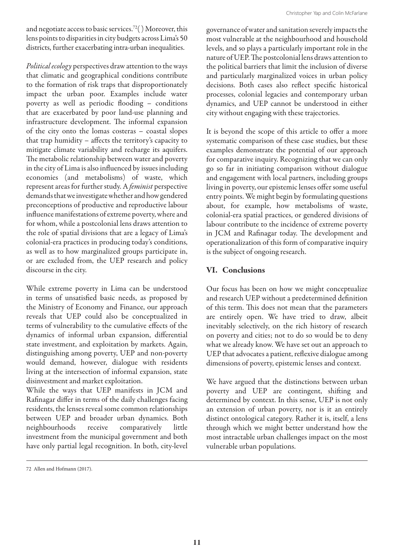and negotiate access to basic services.<sup>72</sup>( $)$  Moreover, this lens points to disparities in city budgets across Lima's 50 districts, further exacerbating intra-urban inequalities.

*Political ecology* perspectives draw attention to the ways that climatic and geographical conditions contribute to the formation of risk traps that disproportionately impact the urban poor. Examples include water poverty as well as periodic flooding – conditions that are exacerbated by poor land-use planning and infrastructure development. The informal expansion of the city onto the lomas costeras – coastal slopes that trap humidity – affects the territory's capacity to mitigate climate variability and recharge its aquifers. The metabolic relationship between water and poverty in the city of Lima is also influenced by issues including economies (and metabolisms) of waste, which represent areas for further study. A *feminist* perspective demands that we investigate whether and how gendered preconceptions of productive and reproductive labour influence manifestations of extreme poverty, where and for whom, while a postcolonial lens draws attention to the role of spatial divisions that are a legacy of Lima's colonial-era practices in producing today's conditions, as well as to how marginalized groups participate in, or are excluded from, the UEP research and policy discourse in the city.

While extreme poverty in Lima can be understood in terms of unsatisfied basic needs, as proposed by the Ministry of Economy and Finance, our approach reveals that UEP could also be conceptualized in terms of vulnerability to the cumulative effects of the dynamics of informal urban expansion, differential state investment, and exploitation by markets. Again, distinguishing among poverty, UEP and non-poverty would demand, however, dialogue with residents living at the intersection of informal expansion, state disinvestment and market exploitation.

While the ways that UEP manifests in JCM and Rafinagar differ in terms of the daily challenges facing residents, the lenses reveal some common relationships between UEP and broader urban dynamics. Both neighbourhoods receive comparatively little investment from the municipal government and both have only partial legal recognition. In both, city-level governance of water and sanitation severely impacts the most vulnerable at the neighbourhood and household levels, and so plays a particularly important role in the nature of UEP. The postcolonial lens draws attention to the political barriers that limit the inclusion of diverse and particularly marginalized voices in urban policy decisions. Both cases also reflect specific historical processes, colonial legacies and contemporary urban dynamics, and UEP cannot be understood in either city without engaging with these trajectories.

It is beyond the scope of this article to offer a more systematic comparison of these case studies, but these examples demonstrate the potential of our approach for comparative inquiry. Recognizing that we can only go so far in initiating comparison without dialogue and engagement with local partners, including groups living in poverty, our epistemic lenses offer some useful entry points. We might begin by formulating questions about, for example, how metabolisms of waste, colonial-era spatial practices, or gendered divisions of labour contribute to the incidence of extreme poverty in JCM and Rafinagar today. The development and operationalization of this form of comparative inquiry is the subject of ongoing research.

# VI. Conclusions

Our focus has been on how we might conceptualize and research UEP without a predetermined definition of this term. This does not mean that the parameters are entirely open. We have tried to draw, albeit inevitably selectively, on the rich history of research on poverty and cities; not to do so would be to deny what we already know. We have set out an approach to UEP that advocates a patient, reflexive dialogue among dimensions of poverty, epistemic lenses and context.

We have argued that the distinctions between urban poverty and UEP are contingent, shifting and determined by context. In this sense, UEP is not only an extension of urban poverty, nor is it an entirely distinct ontological category. Rather it is, itself, a lens through which we might better understand how the most intractable urban challenges impact on the most vulnerable urban populations.

<sup>72</sup> Allen and Hofmann (2017).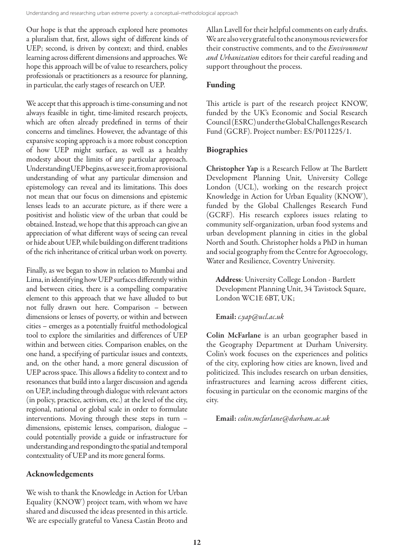Our hope is that the approach explored here promotes a pluralism that, first, allows sight of different kinds of UEP; second, is driven by context; and third, enables learning across different dimensions and approaches. We hope this approach will be of value to researchers, policy professionals or practitioners as a resource for planning, in particular, the early stages of research on UEP.

We accept that this approach is time-consuming and not always feasible in tight, time-limited research projects, which are often already predefined in terms of their concerns and timelines. However, the advantage of this expansive scoping approach is a more robust conception of how UEP might surface, as well as a healthy modesty about the limits of any particular approach. Understanding UEP begins, as we see it, from a provisional understanding of what any particular dimension and epistemology can reveal and its limitations. This does not mean that our focus on dimensions and epistemic lenses leads to an accurate picture, as if there were a positivist and holistic view of the urban that could be obtained. Instead, we hope that this approach can give an appreciation of what different ways of seeing can reveal or hide about UEP, while building on different traditions of the rich inheritance of critical urban work on poverty.

Finally, as we began to show in relation to Mumbai and Lima, in identifying how UEP surfaces differently within and between cities, there is a compelling comparative element to this approach that we have alluded to but not fully drawn out here. Comparison – between dimensions or lenses of poverty, or within and between cities – emerges as a potentially fruitful methodological tool to explore the similarities and differences of UEP within and between cities. Comparison enables, on the one hand, a specifying of particular issues and contexts, and, on the other hand, a more general discussion of UEP across space. This allows a fidelity to context and to resonances that build into a larger discussion and agenda on UEP, including through dialogue with relevant actors (in policy, practice, activism, etc.) at the level of the city, regional, national or global scale in order to formulate interventions. Moving through these steps in turn – dimensions, epistemic lenses, comparison, dialogue – could potentially provide a guide or infrastructure for understanding and responding to the spatial and temporal contextuality of UEP and its more general forms.

# Acknowledgements

We wish to thank the Knowledge in Action for Urban Equality (KNOW) project team, with whom we have shared and discussed the ideas presented in this article. We are especially grateful to Vanesa Castán Broto and Allan Lavell for their helpful comments on early drafts. We are also very grateful to the anonymous reviewers for their constructive comments, and to the *Environment and Urbanization* editors for their careful reading and support throughout the process.

# Funding

This article is part of the research project KNOW, funded by the UK's Economic and Social Research Council (ESRC) under the Global Challenges Research Fund (GCRF). Project number: ES/P011225/1.

# Biographies

Christopher Yap is a Research Fellow at The Bartlett Development Planning Unit, University College London (UCL), working on the research project Knowledge in Action for Urban Equality (KNOW), funded by the Global Challenges Research Fund (GCRF). His research explores issues relating to community self-organization, urban food systems and urban development planning in cities in the global North and South. Christopher holds a PhD in human and social geography from the Centre for Agroecology, Water and Resilience, Coventry University.

Address: University College London - Bartlett Development Planning Unit, 34 Tavistock Square, London WC1E 6BT, UK;

# Email: *c.yap@ucl.ac.uk*

Colin McFarlane is an urban geographer based in the Geography Department at Durham University. Colin's work focuses on the experiences and politics of the city, exploring how cities are known, lived and politicized. This includes research on urban densities, infrastructures and learning across different cities, focusing in particular on the economic margins of the city.

Email: *colin.mcfarlane@durham.ac.uk*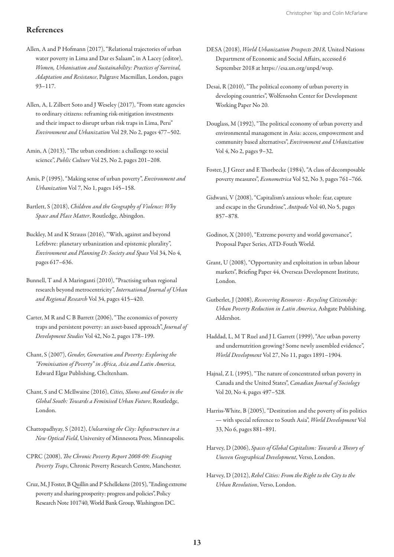### References

- Allen, A and P Hofmann (2017), "Relational trajectories of urban water poverty in Lima and Dar es Salaam", in A Lacey (editor), *Women, Urbanisation and Sustainability: Practices of Survival, Adaptation and Resistance*, Palgrave Macmillan, London, pages 93–117.
- Allen, A, L Zilbert Soto and J Weseley (2017), "From state agencies to ordinary citizens: reframing risk-mitigation investments and their impact to disrupt urban risk traps in Lima, Peru" *Environment and Urbanization* Vol 29, No 2, pages 477–502.
- Amin, A (2013), "The urban condition: a challenge to social science", *Public Culture* Vol 25, No 2, pages 201–208.
- Amis, P (1995), "Making sense of urban poverty", *Environment and Urbanization* Vol 7, No 1, pages 145–158.
- Bartlett, S (2018), *Children and the Geography of Violence: Why Space and Place Matter*, Routledge, Abingdon.
- Buckley, M and K Strauss (2016), "With, against and beyond Lefebvre: planetary urbanization and epistemic plurality", *Environment and Planning D: Society and Space* Vol 34, No 4, pages 617–636.
- Bunnell, T and A Maringanti (2010), "Practising urban regional research beyond metrocentricity", *International Journal of Urban and Regional Research* Vol 34, pages 415–420.
- Carter, M R and C B Barrett (2006), "The economics of poverty traps and persistent poverty: an asset-based approach", *Journal of Development Studies* Vol 42, No 2, pages 178–199.
- Chant, S (2007), *Gender, Generation and Poverty: Exploring the "Feminisation of Poverty" in Africa, Asia and Latin America*, Edward Elgar Publishing, Cheltenham.
- Chant, S and C McIlwaine (2016), *Cities, Slums and Gender in the Global South: Towards a Feminised Urban Future*, Routledge, London.
- Chattopadhyay, S (2012), *Unlearning the City: Infrastructure in a New Optical Field*, University of Minnesota Press, Minneapolis.
- CPRC (2008), *The Chronic Poverty Report 2008-09: Escaping Poverty Traps*, Chronic Poverty Research Centre, Manchester.
- Cruz, M, J Foster, B Quillin and P Schellekens (2015), "Ending extreme poverty and sharing prosperity: progress and policies", Policy Research Note 101740, World Bank Group, Washington DC.
- DESA (2018), *World Urbanization Prospects 2018,* United Nations Department of Economic and Social Affairs, accessed 6 September 2018 at https://esa.un.org/unpd/wup.
- Desai, R (2010), "The political economy of urban poverty in developing countries", Wolfensohn Center for Development Working Paper No 20.
- Douglass, M (1992), "The political economy of urban poverty and environmental management in Asia: access, empowerment and community based alternatives", *Environment and Urbanization* Vol 4, No 2, pages 9–32.
- Foster, J, J Greer and E Thorbecke (1984), "A class of decomposable poverty measures", *Econometrica* Vol 52, No 3, pages 761–766.
- Gidwani, V (2008), "Capitalism's anxious whole: fear, capture and escape in the Grundrisse", *Antipode* Vol 40, No 5, pages 857–878.
- Godinot, X (2010), "Extreme poverty and world governance", Proposal Paper Series, ATD-Fouth World.
- Grant, U (2008), "Opportunity and exploitation in urban labour markets", Briefing Paper 44, Overseas Development Institute, London.
- Gutberlet, J (2008), *Recovering Resources Recycling Citizenship: Urban Poverty Reduction in Latin America*, Ashgate Publishing, Aldershot.
- Haddad, L, M T Ruel and J L Garrett (1999), "Are urban poverty and undernutrition growing? Some newly assembled evidence", *World Development* Vol 27, No 11, pages 1891–1904.
- Hajnal, Z L (1995), "The nature of concentrated urban poverty in Canada and the United States", *Canadian Journal of Sociology* Vol 20, No 4, pages 497–528.
- Harriss-White, B (2005), "Destitution and the poverty of its politics — with special reference to South Asia", *World Development* Vol 33, No 6, pages 881–891.
- Harvey, D (2006), *Spaces of Global Capitalism: Towards a Theory of Uneven Geographical Development*, Verso, London.
- Harvey, D (2012), *Rebel Cities: From the Right to the City to the Urban Revolution*, Verso, London.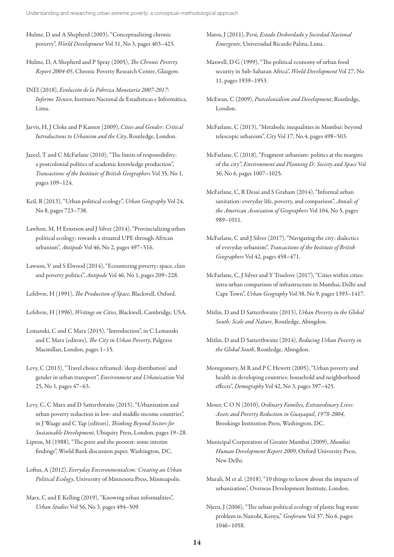Hulme, D and A Shepherd (2003), "Conceptualizing chronic poverty", *World Development* Vol 31, No 3, pages 403–423.

Hulme, D, A Shepherd and P Spray (2005), *The Chronic Poverty Report 2004-05*, Chronic Poverty Research Centre, Glasgow.

INEI (2018), *Evolución de la Pobreza Monetaria 2007-2017: Informe Técnico*, Instituto Nacional de Estadísticas e Informática, Lima.

Jarvis, H, J Cloke and P Kantor (2009), *Cities and Gender: Critical Introductions to Urbanism and the City*, Routledge, London.

- Jazeel, T and C McFarlane (2010), "The limits of responsibility: a postcolonial politics of academic knowledge production", *Transactions of the Institute of British Geographers* Vol 35, No 1, pages 109–124.
- Keil, R (2013), "Urban political ecology", *Urban Geography* Vol 24, No 8, pages 723–738.
- Lawhon, M, H Ernstson and J Silver (2014), "Provincializing urban political ecology: towards a situated UPE through African urbanism", *Antipode* Vol 46, No 2, pages 497–516.
- Lawson, V and S Elwood (2014), "Ecountering poverty: space, class and poverty politics", *Antipode* Vol 46, No 1, pages 209–228.
- Lefebvre, H (1991), *The Production of Space*, Blackwell, Oxford.
- Lefebvre, H (1996), *Writings on Cities*, Blackwell, Cambridge, USA.
- Lemanski, C and C Marx (2015), "Introduction", in C Lemanski and C Marx (editors), *The City in Urban Poverty*, Palgrave Macmillan, London, pages 1–15.
- Levy, C (2013), "Travel choice reframed: 'deep distribution' and gender in urban transport", *Environment and Urbanization* Vol 25, No 1, pages 47–63.
- Levy, C, C Marx and D Satterthwaite (2015), "Urbanisation and urban poverty reduction in low- and middle-income countries", in J Waage and C Yap (editors), *Thinking Beyond Sectors for Sustainable Development*, Ubiquity Press, London, pages 19–28.
- Lipton, M (1988), "The poor and the poorest: some interim findings", World Bank discussion paper, Washington, DC.
- Loftus, A (2012), *Everyday Environmentalism: Creating an Urban Political Ecology*, University of Minnesota Press, Minneapolis.
- Marx, C and E Kelling (2019), "Knowing urban informalities", *Urban Studies* Vol 56, No 3, pages 494–509.

Matos, J (2011), P*erú, Estado Desbordado y Sociedad Nacional Emergente*, Universidad Ricardo Palma, Lima.

- Maxwell, D G (1999), "The political economy of urban food security in Sub-Saharan Africa", *World Development* Vol 27, No 11, pages 1939–1953.
- McEwan, C (2009), *Postcolonialism and Development*, Routledge, London.
- McFarlane, C (2013), "Metabolic inequalities in Mumbai: beyond telescopic urbanism", *City* Vol 17, No.4, pages 498–503.
- McFarlane, C (2018), "Fragment urbanism: politics at the margins of the city", *Environment and Planning D: Society and Space* Vol 36, No 6, pages 1007–1025.
- McFarlane, C, R Desai and S Graham (2014), "Informal urban sanitation: everyday life, poverty, and comparison", *Annals of the American Association of Geographers* Vol 104, No 5, pages 989–1011.
- McFarlane, C and J Silver (2017), "Navigating the city: dialectics of everyday urbanism", *Transactions of the Institute of British Geographers* Vol 42, pages 458–471.
- McFarlane, C, J Silver and Y Truelove (2017), "Cities within cities: intra-urban comparison of infrastructure in Mumbai, Delhi and Cape Town", *Urban Geography* Vol 38, No 9, pages 1393–1417.
- Mitlin, D and D Satterthwaite (2013), *Urban Poverty in the Global South: Scale and Nature*, Routledge, Abingdon.
- Mitlin, D and D Satterthwaite (2014), *Reducing Urban Poverty in the Global South*, Routledge, Abingdon.
- Montgomery, M R and P C Hewett (2005), "Urban poverty and health in developing countries: household and neighborhood effects", *Demography* Vol 42, No 3, pages 397–425.
- Moser, C O N (2010), *Ordinary Families, Extraordinary Lives: Assets and Poverty Reduction in Guayaquil*, *1978-2004*, Brookings Institution Press, Washington, DC.
- Municipal Corporation of Greater Mumbai (2009), *Mumbai Human Development Report 2009*, Oxford University Press, New Delhi.
- Murali, M et al. (2018), "10 things to know about the impacts of urbanization", Overseas Development Institute, London.
- Njeru, J (2006), "The urban political ecology of plastic bag waste problem in Nairobi, Kenya," *Geoforum* Vol 37, No 6, pages 1046–1058.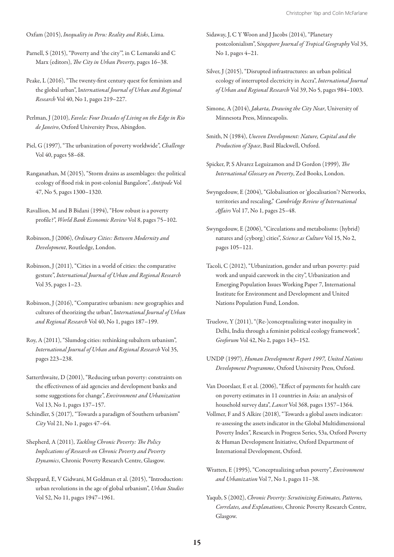Oxfam (2015), *Inequality in Peru: Reality and Risks*, Lima.

Parnell, S (2015), "Poverty and 'the city'", in C Lemanski and C Marx (editors), *The City in Urban Poverty*, pages 16–38.

Peake, L (2016), "The twenty-first century quest for feminism and the global urban", I*nternational Journal of Urban and Regional Research* Vol 40, No 1, pages 219–227.

Perlman, J (2010), *Favela: Four Decades of Living on the Edge in Rio de Janeiro*, Oxford University Press, Abingdon.

Piel, G (1997), "The urbanization of poverty worldwide", *Challenge* Vol 40, pages 58–68.

Ranganathan, M (2015), "Storm drains as assemblages: the political ecology of flood risk in post-colonial Bangalore", *Antipode* Vol 47, No 5, pages 1300–1320.

Ravallion, M and B Bidani (1994), "How robust is a poverty profile?", *World Bank Economic Review* Vol 8, pages 75–102.

Robinson, J (2006), *Ordinary Cities: Between Modernity and Development*, Routledge, London.

Robinson, J (2011), "Cities in a world of cities: the comparative gesture", *International Journal of Urban and Regional Research* Vol 35, pages 1–23.

Robinson, J (2016), "Comparative urbanism: new geographies and cultures of theorizing the urban", I*nternational Journal of Urban and Regional Research* Vol 40, No 1, pages 187–199.

Roy, A (2011), "Slumdog cities: rethinking subaltern urbanism", *International Journal of Urban and Regional Research* Vol 35, pages 223–238.

Satterthwaite, D (2001), "Reducing urban poverty: constraints on the effectiveness of aid agencies and development banks and some suggestions for change", *Environment and Urbanization* Vol 13, No 1, pages 137–157.

Schindler, S (2017), "Towards a paradigm of Southern urbanism" *City* Vol 21, No 1, pages 47–64.

Shepherd, A (2011), *Tackling Chronic Poverty: The Policy Implications of Research on Chronic Poverty and Poverty Dynamics*, Chronic Poverty Research Centre, Glasgow.

Sheppard, E, V Gidwani, M Goldman et al. (2015), "Introduction: urban revolutions in the age of global urbanism", *Urban Studies* Vol 52, No 11, pages 1947–1961.

Sidaway, J, C Y Woon and J Jacobs (2014), "Planetary postcolonialism", S*ingapore Journal of Tropical Geography* Vol 35, No 1, pages 4–21.

Silver, J (2015), "Disrupted infrastructures: an urban political ecology of interrupted electricity in Accra", *International Journal of Urban and Regional Research* Vol 39, No 5, pages 984–1003.

Simone, A (2014), *Jakarta, Drawing the City Near*, University of Minnesota Press, Minneapolis.

Smith, N (1984), *Uneven Development: Nature, Capital and the Production of Space*, Basil Blackwell, Oxford.

Spicker, P, S Alvarez Leguizamon and D Gordon (1999), *The International Glossary on Poverty*, Zed Books, London.

Swyngedouw, E (2004), "Globalisation or 'glocalisation'? Networks, territories and rescaling," *Cambridge Review of International Affairs* Vol 17, No 1, pages 25–48.

Swyngedouw, E (2006), "Circulations and metabolisms: (hybrid) natures and (cyborg) cities", *Science as Culture* Vol 15, No 2, pages 105–121.

Tacoli, C (2012), "Urbanization, gender and urban poverty: paid work and unpaid carework in the city", Urbanization and Emerging Population Issues Working Paper 7, International Institute for Environment and Development and United Nations Population Fund, London.

Truelove, Y (2011), "(Re-)conceptualizing water inequality in Delhi, India through a feminist political ecology framework", *Geoforum* Vol 42, No 2, pages 143–152.

UNDP (1997), *Human Development Report 1997, United Nations Development Programme*, Oxford University Press, Oxford.

Van Doorslaer, E et al. (2006), "Effect of payments for health care on poverty estimates in 11 countries in Asia: an analysis of household survey data", *Lancet* Vol 368, pages 1357–1364.

Vollmer, F and S Alkire (2018), "Towards a global assets indicator: re-assessing the assets indicator in the Global Multidimensional Poverty Index", Research in Progress Series, 53a, Oxford Poverty & Human Development Initiative, Oxford Department of International Development, Oxford.

Wratten, E (1995), "Conceptualizing urban poverty", *Environment and Urbanization* Vol 7, No 1, pages 11–38.

Yaqub, S (2002), *Chronic Poverty: Scrutinizing Estimates, Patterns, Correlates, and Explanations*, Chronic Poverty Research Centre, Glasgow.